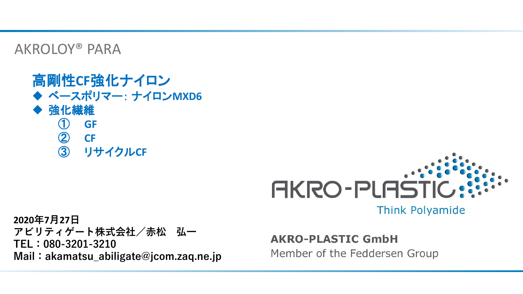AKROLOY® PARA

### 高剛性**CF**強化ナイロン ◆ ベースポリマー: ナイロン**MXD6** ◆ 強化繊維 ① **GF** ② **CF** ③ リサイクル**CF**



**2020年7月27日 アビリティゲート株式会社/赤松 弘一 TEL:080-3201-3210 Mail:akamatsu\_abiligate@jcom.zaq.ne.jp**

**AKRO-PLASTIC GmbH** 

Member of the Feddersen Group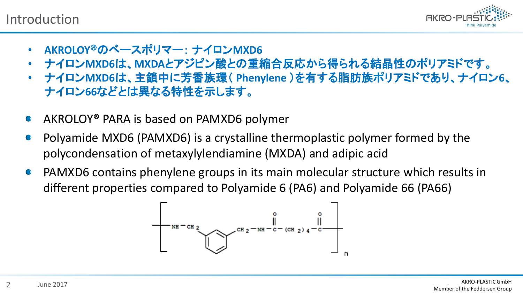Introduction



- **AKROLOY**のベースポリマー: ナイロン**MXD6**
- ナイロン**MXD6**は、**MXDA**とアジピン酸との重縮合反応から得られる結晶性のポリアミドです。
- ナイロン**MXD6**は、主鎖中に芳香族環( **Phenylene** )を有する脂肪族ポリアミドであり、ナイロン**6**、 ナイロン**66**などとは異なる特性を示します。
- AKROLOY® PARA is based on PAMXD6 polymer  $\bullet$
- Polyamide MXD6 (PAMXD6) is a crystalline thermoplastic polymer formed by the polycondensation of metaxylylendiamine (MXDA) and adipic acid
- PAMXD6 contains phenylene groups in its main molecular structure which results in  $\bigodot$ different properties compared to Polyamide 6 (PA6) and Polyamide 66 (PA66)

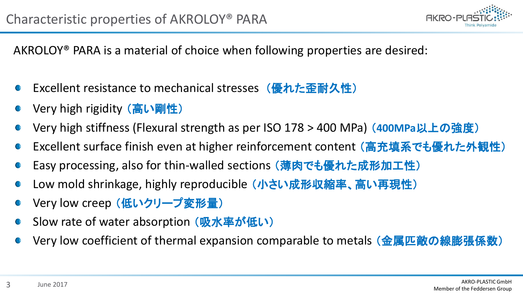

AKROLOY® PARA is a material of choice when following properties are desired:

- Excellent resistance to mechanical stresses (優れた歪耐久性)
- Very high rigidity (高い剛性)
- Very high stiffness (Flexural strength as per ISO 178 > 400 MPa) (**400MPa**以上の強度)
- Excellent surface finish even at higher reinforcement content (高充填系でも優れた外観性)
- Easy processing, also for thin-walled sections (薄肉でも優れた成形加工性)
- Low mold shrinkage, highly reproducible (小さい成形収縮率、高い再現性)
- Very low creep (低いクリープ変形量)
- Slow rate of water absorption (吸水率が低い)
- Very low coefficient of thermal expansion comparable to metals (金属匹敵の線膨張係数)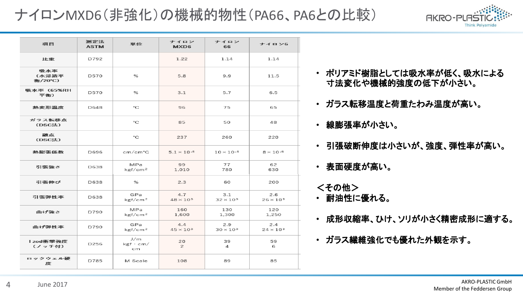## ナイロンMXD6(非強化)の機械的物性(PA66、PA6との比較)



| 項目                      | 测定法<br><b>ASTM</b> | 単位                         | ナイロン<br>MXD <sub>6</sub>  | ナイロン<br>66                | ナイロン6                     |  |
|-------------------------|--------------------|----------------------------|---------------------------|---------------------------|---------------------------|--|
| 比重                      | D792               |                            | 1.22                      | 1.14                      | 1.14                      |  |
| 吸水率<br>(水浸清平<br>衡/20°C) | D570               | %                          | 5.8                       | 9.9                       | 11.5                      |  |
| 吸水率 (65%RH<br>平衡)       | D570               | %                          | 3.1                       | 5.7                       | 6.5                       |  |
| 熱変形温度                   | D648               | °C                         | 96                        | 75                        | 65                        |  |
| ガラス転移点<br>(DSC法)        |                    | °C                         | 85                        | 50                        | 48                        |  |
| 融点<br>(DSC法)            |                    | °€                         | 237                       | 260                       | 220                       |  |
| 熱膨張係数                   | D696               | cm/cm°C                    | $5.1 \times 10^{-5}$      | $10 \times 10^{-5}$       | $8 \times 10^{-5}$        |  |
| 引張強さ                    | D638               | MPa<br>kgf/cm <sup>2</sup> | 99<br>77<br>780<br>1.010  |                           | 62<br>630                 |  |
| 引張伸び                    | D638               | %                          | 2.3                       | 60                        | 200                       |  |
| 引張弾性率                   | D638               | GPa<br>kgf/cm <sup>2</sup> | 4.7<br>$48 \times 10^{3}$ | 3.1<br>$32 \times 10^{3}$ | 2.6<br>$26 \times 10^{3}$ |  |
| 曲げ強さ                    | D790               | MPa<br>kgf/cm <sup>2</sup> | 160<br>1,600              | 130<br>1,300              | 120<br>1,250              |  |
| 曲げ弾性率                   | D790               | GPa<br>kgf/cm <sup>2</sup> | 4.4<br>$45 \times 10^{3}$ | 2.9<br>$30 \times 10^{3}$ | 2.4<br>$24 \times 10^{3}$ |  |
| I zod衝撃強度<br>(ノッチ付)     | D <sub>256</sub>   | J/m<br>kgf · cm/<br>cm     | 20<br>$\mathfrak{p}$      | 39<br>4                   | 59<br>6                   |  |
| ロックウェル硬<br>度            | D785               | M Scale                    | 108                       | 89                        | 85                        |  |

- ポリアミド樹脂としては吸水率が低く、吸水による 寸法変化や機械的強度の低下が小さい。
- ガラス転移温度と荷重たわみ温度が高い。
- 線膨張率が小さい。
- 引張破断伸度は小さいが、強度、弾性率が高い。
- 表面硬度が高い。
- <その他>
- 耐油性に優れる。
- 成形収縮率、ひけ、ソリが小さく精密成形に適する。
- ガラス繊維強化でも優れた外観を示す。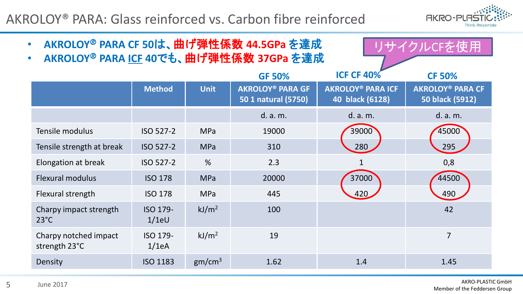AKROLOY® PARA: Glass reinforced vs. Carbon fibre reinforced



| AKROLOY <sup>®</sup> PARA CF 50は、曲げ弾性係数 44.5GPa を達成<br>$\bullet$<br><u>リサイクルCFを使用</u><br>AKROLOY <sup>®</sup> PARA ICF 40でも、曲げ弾性係数 37GPa を達成<br>$\bullet$ |                      |                    |                                                |                                             |                                            |  |  |
|-----------------------------------------------------------------------------------------------------------------------------------------------------------|----------------------|--------------------|------------------------------------------------|---------------------------------------------|--------------------------------------------|--|--|
|                                                                                                                                                           |                      |                    | <b>GF 50%</b>                                  | <b>ICF CF 40%</b>                           | <b>CF 50%</b>                              |  |  |
|                                                                                                                                                           | <b>Method</b>        | <b>Unit</b>        | <b>AKROLOY® PARA GF</b><br>50 1 natural (5750) | <b>AKROLOY® PARA ICF</b><br>40 black (6128) | <b>AKROLOY® PARA CF</b><br>50 black (5912) |  |  |
|                                                                                                                                                           |                      |                    | d. a. m.                                       | d. a. m.                                    | d. a. m.                                   |  |  |
| Tensile modulus                                                                                                                                           | ISO 527-2            | MPa                | 19000                                          | 39000                                       | 45000                                      |  |  |
| Tensile strength at break                                                                                                                                 | ISO 527-2            | <b>MPa</b>         | 310                                            | 280                                         | 295                                        |  |  |
| Elongation at break                                                                                                                                       | ISO 527-2            | %                  | 2.3                                            |                                             | 0,8                                        |  |  |
| Flexural modulus                                                                                                                                          | <b>ISO 178</b>       | <b>MPa</b>         | 20000                                          | 37000                                       | 44500                                      |  |  |
| Flexural strength                                                                                                                                         | <b>ISO 178</b>       | MPa                | 445                                            | 420                                         | 490                                        |  |  |
| Charpy impact strength<br>$23^{\circ}$ C                                                                                                                  | ISO 179-<br>$1/1$ eU | kJ/m <sup>2</sup>  | 100                                            |                                             | 42                                         |  |  |
| Charpy notched impact<br>strength 23°C                                                                                                                    | ISO 179-<br>1/1eA    | kJ/m <sup>2</sup>  | 19                                             |                                             | 7                                          |  |  |
| Density                                                                                                                                                   | ISO 1183             | gm/cm <sup>3</sup> | 1.62                                           | 1.4                                         | 1.45                                       |  |  |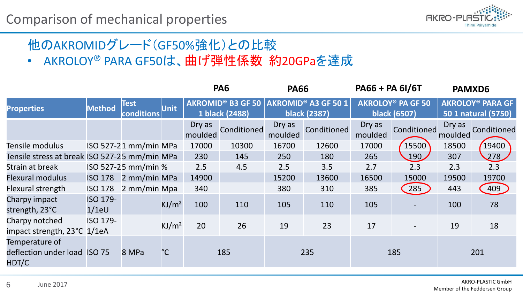

# 他のAKROMIDグレード(GF50%強化)との比較

• AKROLOY<sup>®</sup> PARA GF50は、曲げ弾性係数 約20GPaを達成

|                                                         |                      |                           |                   |                   | PA <sub>6</sub>                            | <b>PA66</b>       |                                            | PA66 + PA 6I/6T   |                                          |                   | PAMXD6                                                    |
|---------------------------------------------------------|----------------------|---------------------------|-------------------|-------------------|--------------------------------------------|-------------------|--------------------------------------------|-------------------|------------------------------------------|-------------------|-----------------------------------------------------------|
| <b>Properties</b>                                       | <b>Method</b>        | <b>Test</b><br>conditions | <b>Unit</b>       |                   | <b>AKROMID® B3 GF 50</b><br>1 black (2488) |                   | AKROMID® A3 GF 50 1<br><b>black (2387)</b> |                   | <b>AKROLOY® PA GF 50</b><br>black (6507) |                   | <b>AKROLOY<sup>®</sup> PARA GF</b><br>50 1 natural (5750) |
|                                                         |                      |                           |                   | Dry as<br>moulded | Conditioned                                | Dry as<br>moulded | Conditioned                                | Dry as<br>moulded | Conditioned                              | Dry as<br>moulded | Conditioned                                               |
| Tensile modulus                                         |                      | ISO 527-21 mm/min MPa     |                   | 17000             | 10300                                      | 16700             | 12600                                      | 17000             | 15500                                    | 18500             | 19400                                                     |
| Tensile stress at break ISO 527-25 mm/min MPa           |                      |                           |                   | 230               | 145                                        | 250               | 180                                        | 265               | 190                                      | 307               | 278                                                       |
| Strain at break                                         |                      | ISO 527-25 mm/min %       |                   | 2.5               | 4.5                                        | 2.5               | 3.5                                        | 2.7               | 2.3                                      | 2.3               | 2.3                                                       |
| <b>Flexural modulus</b>                                 | <b>ISO 178</b>       | 2 mm/min MPa              |                   | 14900             |                                            | 15200             | 13600                                      | 16500             | 15000                                    | 19500             | 19700                                                     |
| Flexural strength                                       | <b>ISO 178</b>       | 2 mm/min Mpa              |                   | 340               |                                            | 380               | 310                                        | 385               | 285                                      | 443               | 409                                                       |
| Charpy impact<br>strength, 23°C                         | ISO 179-<br>$1/1$ eU |                           | KJ/m <sup>2</sup> | 100               | 110                                        | 105               | 110                                        | 105               |                                          | 100               | 78                                                        |
| Charpy notched<br>impact strength, 23°C 1/1eA           | ISO 179-             |                           | KJ/m <sup>2</sup> | 20                | 26                                         | 19                | 23                                         | 17                |                                          | 19                | 18                                                        |
| Temperature of<br>deflection under load ISO 75<br>HDT/C |                      | 8 MPa                     | $^{\circ}$ C      |                   | 185                                        |                   | 235                                        |                   | 185                                      |                   | 201                                                       |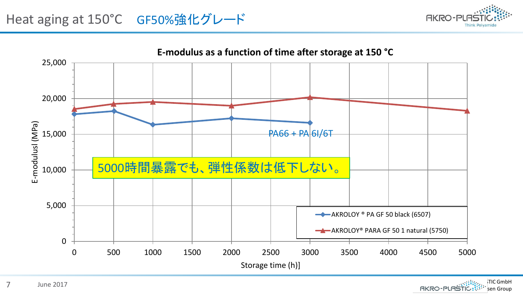

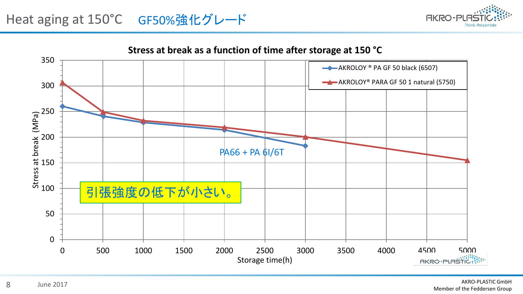

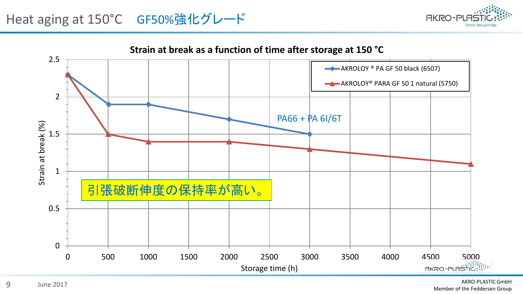

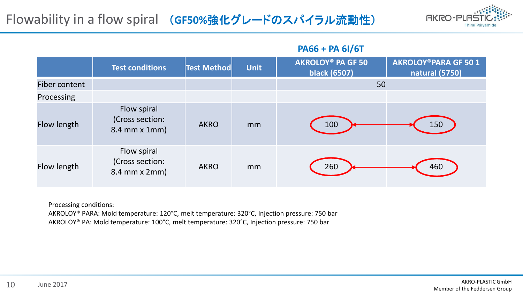### Flowability in a flow spiral (**GF50%**強化グレードのスパイラル流動性)



#### **PA66 + PA 6I/6T**

|               | <b>Test conditions</b>                          | <b>Test Method</b> | <b>Unit</b> | <b>AKROLOY® PA GF 50</b><br>black (6507) | <b>AKROLOY®PARA GF 501</b><br>natural (5750) |
|---------------|-------------------------------------------------|--------------------|-------------|------------------------------------------|----------------------------------------------|
| Fiber content |                                                 |                    |             | 50                                       |                                              |
| Processing    |                                                 |                    |             |                                          |                                              |
| Flow length   | Flow spiral<br>(Cross section:<br>8.4 mm x 1mm) | <b>AKRO</b>        | mm          | 100                                      | 150                                          |
| Flow length   | Flow spiral<br>(Cross section:<br>8.4 mm x 2mm) | <b>AKRO</b>        | mm          | 260                                      | 460                                          |

Processing conditions:

AKROLOY® PARA: Mold temperature: 120°C, melt temperature: 320°C, Injection pressure: 750 bar AKROLOY® PA: Mold temperature: 100°C, melt temperature: 320°C, Injection pressure: 750 bar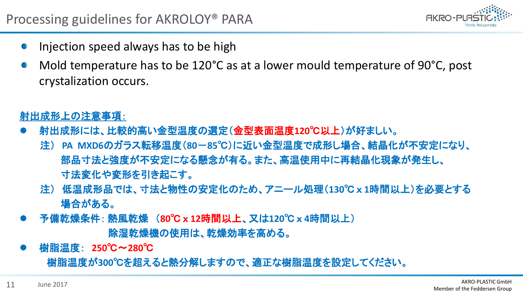

- Injection speed always has to be high
- Mold temperature has to be 120°C as at a lower mould temperature of 90°C, post crystalization occurs.

射出成形上の注意事項:

- ⚫ 射出成形には、比較的高い金型温度の選定(金型表面温度**120**℃以上)が好ましい。
	- 注) **PA MXD6**のガラス転移温度(**80**-**85**℃)に近い金型温度で成形し場合、結晶化が不安定になり、 部品寸法と強度が不安定になる懸念が有る。また、高温使用中に再結晶化現象が発生し、 寸法変化や変形を引き起こす。
	- 注) 低温成形品では、寸法と物性の安定化のため、アニール処理(**130**℃ x **1**時間以上)を必要とする 場合がある。
- ⚫ 予備乾燥条件: 熱風乾燥 (**80**℃ x **12**時間以上、又は**120**℃ x **4**時間以上) 除湿乾燥機の使用は、乾燥効率を高める。
- ⚫ 樹脂温度: **250**℃〜**280**℃ 樹脂温度が**300**℃を超えると熱分解しますので、適正な樹脂温度を設定してください。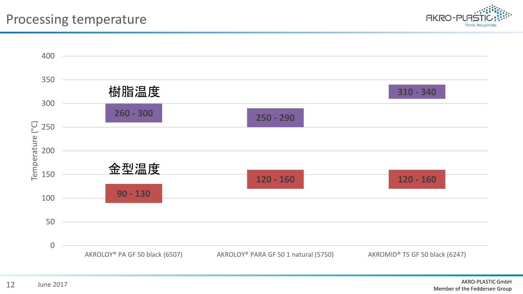

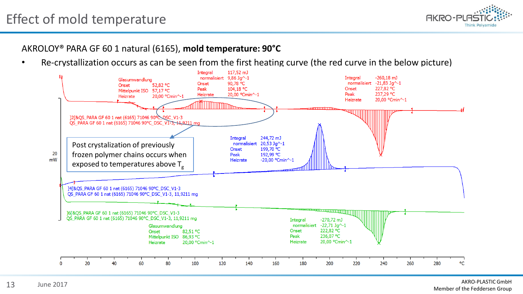### Effect of mold temperature



#### AKROLOY® PARA GF 60 1 natural (6165), **mold temperature: 90°C**

• Re-crystallization occurs as can be seen from the first heating curve (the red curve in the below picture)